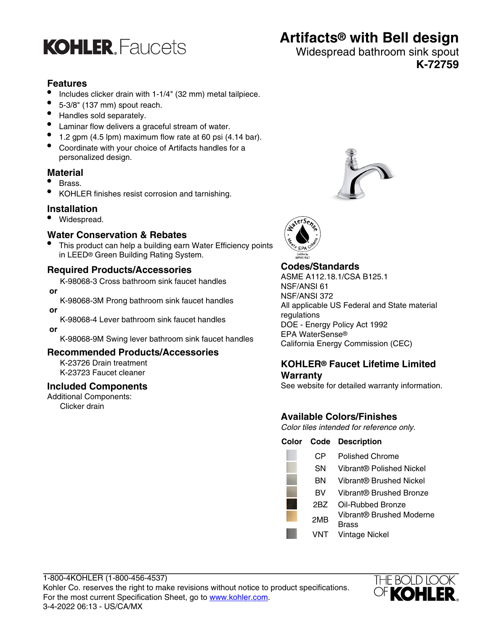

# **Artifacts® with Bell design**

## Widespread bathroom sink spout **K-72759**

# **Features**

- Includes clicker drain with 1-1/4" (32 mm) metal tailpiece.
- $\bullet$  5-3/8" (137 mm) spout reach.
- Handles sold separately.
- Laminar flow delivers a graceful stream of water.
- $\bullet$  1.2 gpm (4.5 lpm) maximum flow rate at 60 psi (4.14 bar).
- Coordinate with your choice of Artifacts handles for a personalized design.

## **Material**

- Brass.
- KOHLER finishes resist corrosion and tarnishing.

## **Installation**

• Widespread.

## **Water Conservation & Rebates**

• This product can help a building earn Water Efficiency points in LEED® Green Building Rating System.

## **Required Products/Accessories**

K-98068-3 Cross bathroom sink faucet handles  **or**

K-98068-3M Prong bathroom sink faucet handles

 **or**

K-98068-4 Lever bathroom sink faucet handles

 **or**

K-98068-9M Swing lever bathroom sink faucet handles

#### **Recommended Products/Accessories**

K-23726 Drain treatment K-23723 Faucet cleaner

#### **Included Components**

Additional Components: Clicker drain





# **Codes/Standards**

ASME A112.18.1/CSA B125.1 NSF/ANSI 61 NSF/ANSI 372 All applicable US Federal and State material regulations DOE - Energy Policy Act 1992 EPA WaterSense® California Energy Commission (CEC)

## **KOHLER® Faucet Lifetime Limited Warranty**

See website for detailed warranty information.

# **Available Colors/Finishes**

Color tiles intended for reference only.

#### **Color Code Description**

| CР  | <b>Polished Chrome</b>                   |
|-----|------------------------------------------|
| SΝ  | Vibrant® Polished Nickel                 |
| ΒN  | Vibrant® Brushed Nickel                  |
| вv  | Vibrant® Brushed Bronze                  |
| 2BZ | Oil-Rubbed Bronze                        |
| 2MB | Vibrant® Brushed Moderne<br><b>Brass</b> |
| VNT | <b>Vintage Nickel</b>                    |